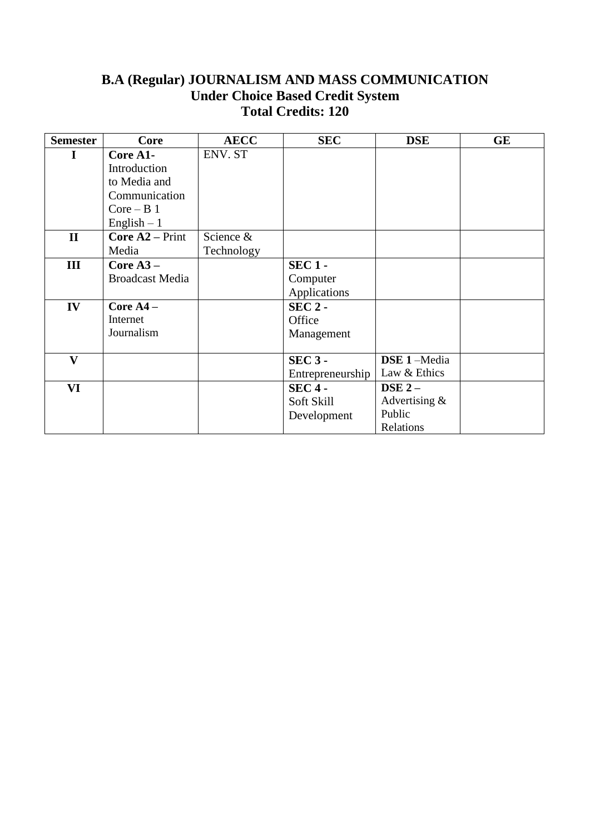# **B.A (Regular) JOURNALISM AND MASS COMMUNICATION Under Choice Based Credit System Total Credits: 120**

| <b>Semester</b> | Core                   | <b>AECC</b> | <b>SEC</b>       | <b>DSE</b>         | <b>GE</b> |
|-----------------|------------------------|-------------|------------------|--------------------|-----------|
| I               | Core A1-               | ENV. ST     |                  |                    |           |
|                 | Introduction           |             |                  |                    |           |
|                 | to Media and           |             |                  |                    |           |
|                 | Communication          |             |                  |                    |           |
|                 | $Core - B1$            |             |                  |                    |           |
|                 | English $-1$           |             |                  |                    |           |
| $\mathbf{I}$    | <b>Core A2</b> – Print | Science &   |                  |                    |           |
|                 | Media                  | Technology  |                  |                    |           |
| III             | Core $A3-$             |             | $SEC 1 -$        |                    |           |
|                 | <b>Broadcast Media</b> |             | Computer         |                    |           |
|                 |                        |             | Applications     |                    |           |
| IV              | Core $A4 -$            |             | $SEC 2 -$        |                    |           |
|                 | Internet               |             | Office           |                    |           |
|                 | Journalism             |             | Management       |                    |           |
|                 |                        |             |                  |                    |           |
| $\mathbf{V}$    |                        |             | $SEC 3 -$        | <b>DSE 1-Media</b> |           |
|                 |                        |             | Entrepreneurship | Law & Ethics       |           |
| VI              |                        |             | $SEC 4 -$        | DSE $2-$           |           |
|                 |                        |             | Soft Skill       | Advertising $&$    |           |
|                 |                        |             | Development      | Public             |           |
|                 |                        |             |                  | Relations          |           |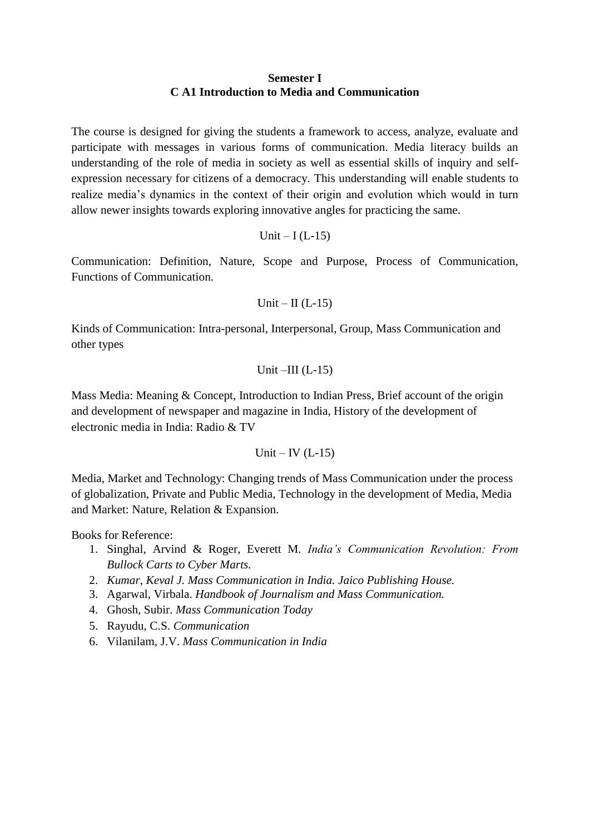#### **Semester I C A1 Introduction to Media and Communication**

The course is designed for giving the students a framework to access, analyze, evaluate and participate with messages in various forms of communication. Media literacy builds an understanding of the role of media in society as well as essential skills of inquiry and selfexpression necessary for citizens of a democracy. This understanding will enable students to realize media's dynamics in the context of their origin and evolution which would in turn allow newer insights towards exploring innovative angles for practicing the same.

$$
Unit - I (L-15)
$$

Communication: Definition, Nature, Scope and Purpose, Process of Communication, Functions of Communication.

$$
Unit - II (L-15)
$$

Kinds of Communication: Intra-personal, Interpersonal, Group, Mass Communication and other types

$$
Unit - III (L-15)
$$

Mass Media: Meaning & Concept, Introduction to Indian Press, Brief account of the origin and development of newspaper and magazine in India, History of the development of electronic media in India: Radio & TV

$$
Unit - IV (L-15)
$$

Media, Market and Technology: Changing trends of Mass Communication under the process of globalization, Private and Public Media, Technology in the development of Media, Media and Market: Nature, Relation & Expansion.

Books for Reference:

- 1. Singhal, Arvind & Roger, Everett M. *India's Communication Revolution: From Bullock Carts to Cyber Marts.*
- 2. *Kumar, Keval J. Mass Communication in India. Jaico Publishing House.*
- 3. Agarwal, Virbala. *Handbook of Journalism and Mass Communication.*
- 4. Ghosh, Subir. *Mass Communication Today*
- 5. Rayudu, C.S. *Communication*
- 6. Vilanilam, J.V. *Mass Communication in India*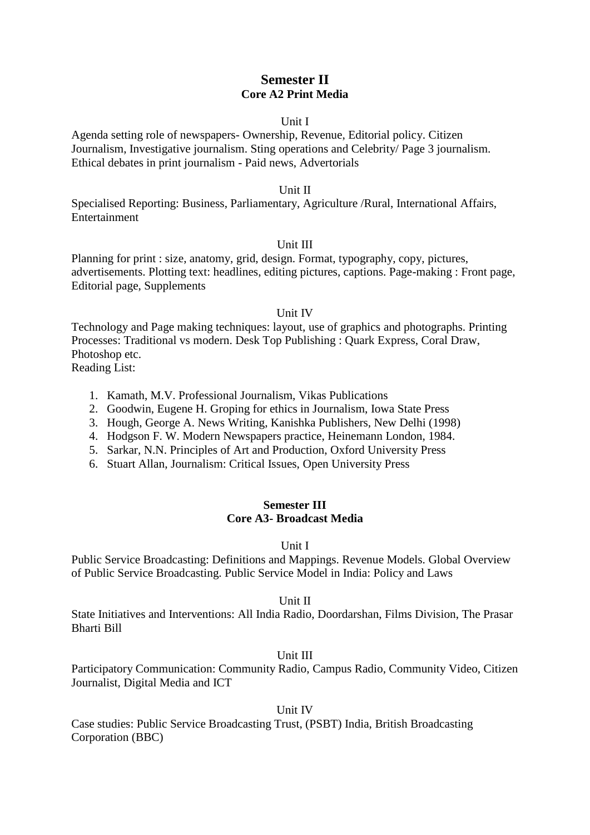# **Semester II Core A2 Print Media**

## Unit I

Agenda setting role of newspapers- Ownership, Revenue, Editorial policy. Citizen Journalism, Investigative journalism. Sting operations and Celebrity/ Page 3 journalism. Ethical debates in print journalism - Paid news, Advertorials

#### Unit II

Specialised Reporting: Business, Parliamentary, Agriculture /Rural, International Affairs, Entertainment

## Unit III

Planning for print : size, anatomy, grid, design. Format, typography, copy, pictures, advertisements. Plotting text: headlines, editing pictures, captions. Page-making : Front page, Editorial page, Supplements

## Unit IV

Technology and Page making techniques: layout, use of graphics and photographs. Printing Processes: Traditional vs modern. Desk Top Publishing : Quark Express, Coral Draw, Photoshop etc.

Reading List:

- 1. Kamath, M.V. Professional Journalism, Vikas Publications
- 2. Goodwin, Eugene H. Groping for ethics in Journalism, Iowa State Press
- 3. Hough, George A. News Writing, Kanishka Publishers, New Delhi (1998)
- 4. Hodgson F. W. Modern Newspapers practice, Heinemann London, 1984.
- 5. Sarkar, N.N. Principles of Art and Production, Oxford University Press
- 6. Stuart Allan, Journalism: Critical Issues, Open University Press

## **Semester III Core A3- Broadcast Media**

#### Unit I

Public Service Broadcasting: Definitions and Mappings. Revenue Models. Global Overview of Public Service Broadcasting. Public Service Model in India: Policy and Laws

#### Unit II

State Initiatives and Interventions: All India Radio, Doordarshan, Films Division, The Prasar Bharti Bill

## Unit III

Participatory Communication: Community Radio, Campus Radio, Community Video, Citizen Journalist, Digital Media and ICT

Unit IV

Case studies: Public Service Broadcasting Trust, (PSBT) India, British Broadcasting Corporation (BBC)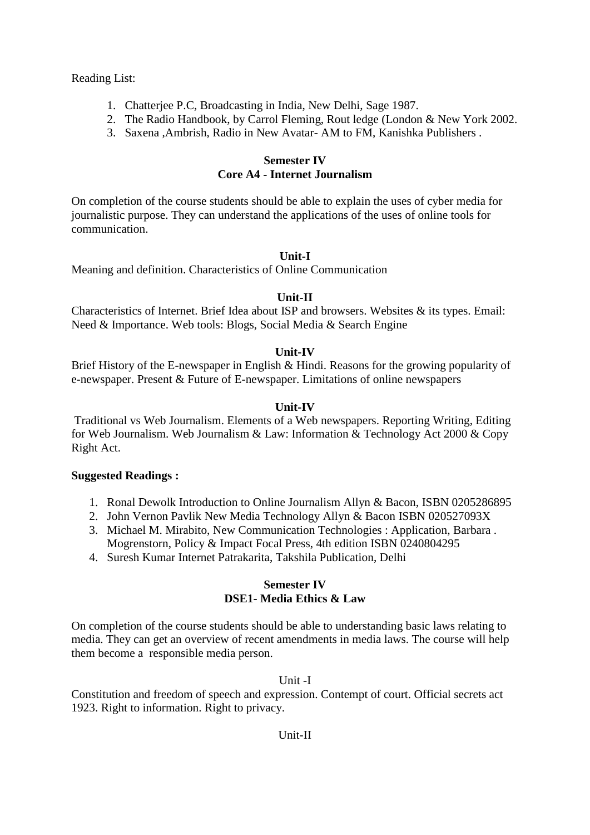### Reading List:

- 1. Chatterjee P.C, Broadcasting in India, New Delhi, Sage 1987.
- 2. The Radio Handbook, by Carrol Fleming, Rout ledge (London & New York 2002.
- 3. Saxena ,Ambrish, Radio in New Avatar- AM to FM, Kanishka Publishers .

# **Semester IV Core A4 - Internet Journalism**

On completion of the course students should be able to explain the uses of cyber media for journalistic purpose. They can understand the applications of the uses of online tools for communication.

# **Unit-I**

Meaning and definition. Characteristics of Online Communication

# **Unit-II**

Characteristics of Internet. Brief Idea about ISP and browsers. Websites & its types. Email: Need & Importance. Web tools: Blogs, Social Media & Search Engine

# **Unit-IV**

Brief History of the E-newspaper in English & Hindi. Reasons for the growing popularity of e-newspaper. Present & Future of E-newspaper. Limitations of online newspapers

# **Unit-IV**

Traditional vs Web Journalism. Elements of a Web newspapers. Reporting Writing, Editing for Web Journalism. Web Journalism & Law: Information & Technology Act 2000 & Copy Right Act.

## **Suggested Readings :**

- 1. Ronal Dewolk Introduction to Online Journalism Allyn & Bacon, ISBN 0205286895
- 2. John Vernon Pavlik New Media Technology Allyn & Bacon ISBN 020527093X
- 3. Michael M. Mirabito, New Communication Technologies : Application, Barbara . Mogrenstorn, Policy & Impact Focal Press, 4th edition ISBN 0240804295
- 4. Suresh Kumar Internet Patrakarita, Takshila Publication, Delhi

# **Semester IV DSE1- Media Ethics & Law**

On completion of the course students should be able to understanding basic laws relating to media. They can get an overview of recent amendments in media laws. The course will help them become a responsible media person.

# Unit -I

Constitution and freedom of speech and expression. Contempt of court. Official secrets act 1923. Right to information. Right to privacy.

# Unit-II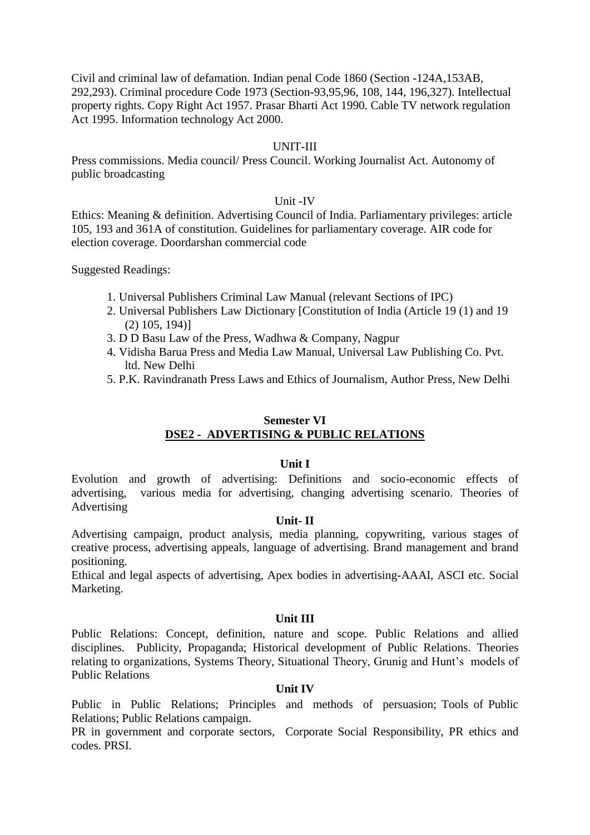Civil and criminal law of defamation. Indian penal Code 1860 (Section -124A,153AB, 292,293). Criminal procedure Code 1973 (Section-93,95,96, 108, 144, 196,327). Intellectual property rights. Copy Right Act 1957. Prasar Bharti Act 1990. Cable TV network regulation Act 1995. Information technology Act 2000.

## UNIT-III

Press commissions. Media council/ Press Council. Working Journalist Act. Autonomy of public broadcasting

#### Unit -IV

Ethics: Meaning & definition. Advertising Council of India. Parliamentary privileges: article 105, 193 and 361A of constitution. Guidelines for parliamentary coverage. AIR code for election coverage. Doordarshan commercial code

Suggested Readings:

- 1. Universal Publishers Criminal Law Manual (relevant Sections of IPC)
- 2. Universal Publishers Law Dictionary [Constitution of India (Article 19 (1) and 19 (2) 105, 194)]
- 3. D D Basu Law of the Press, Wadhwa & Company, Nagpur
- 4. Vidisha Barua Press and Media Law Manual, Universal Law Publishing Co. Pvt. ltd. New Delhi
- 5. P.K. Ravindranath Press Laws and Ethics of Journalism, Author Press, New Delhi

## **Semester VI DSE2 - ADVERTISING & PUBLIC RELATIONS**

#### **Unit I**

Evolution and growth of advertising: Definitions and socio-economic effects of advertising, various media for advertising, changing advertising scenario. Theories of Advertising

#### **Unit- II**

Advertising campaign, product analysis, media planning, copywriting, various stages of creative process, advertising appeals, language of advertising. Brand management and brand positioning.

Ethical and legal aspects of advertising, Apex bodies in advertising-AAAI, ASCI etc. Social Marketing.

#### **Unit III**

Public Relations: Concept, definition, nature and scope. Public Relations and allied disciplines. Publicity, Propaganda; Historical development of Public Relations. Theories relating to organizations, Systems Theory, Situational Theory, Grunig and Hunt's models of Public Relations

## **Unit IV**

Public in Public Relations; Principles and methods of persuasion; Tools of Public Relations; Public Relations campaign.

PR in government and corporate sectors, Corporate Social Responsibility, PR ethics and codes. PRSI.